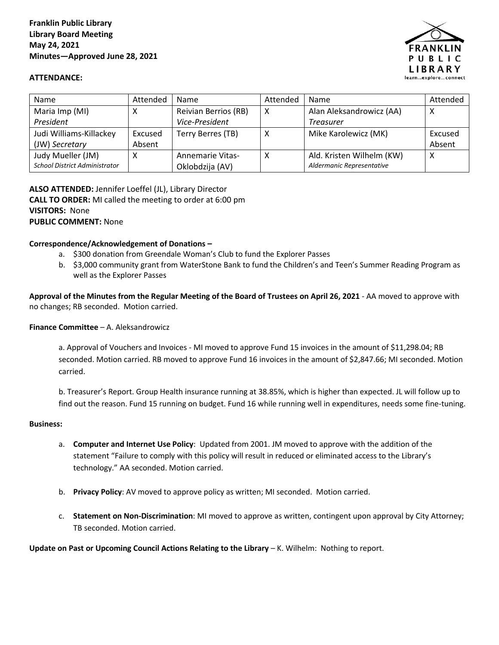

## **ATTENDANCE:**

| <b>Name</b>                          | Attended | Name                    | Attended | Name                      | Attended |
|--------------------------------------|----------|-------------------------|----------|---------------------------|----------|
| Maria Imp (MI)                       |          | Reivian Berrios (RB)    | x        | Alan Aleksandrowicz (AA)  | х        |
| President                            |          | Vice-President          |          | <b>Treasurer</b>          |          |
| Judi Williams-Killackey              | Excused  | Terry Berres (TB)       | X        | Mike Karolewicz (MK)      | Excused  |
| (JW) Secretary                       | Absent   |                         |          |                           | Absent   |
| Judy Mueller (JM)                    | Χ        | <b>Annemarie Vitas-</b> | X        | Ald. Kristen Wilhelm (KW) | Χ        |
| <b>School District Administrator</b> |          | Oklobdzija (AV)         |          | Aldermanic Representative |          |

**ALSO ATTENDED:** Jennifer Loeffel (JL), Library Director **CALL TO ORDER:** MI called the meeting to order at 6:00 pm **VISITORS:** None **PUBLIC COMMENT:** None

## **Correspondence/Acknowledgement of Donations –**

- a. \$300 donation from Greendale Woman's Club to fund the Explorer Passes
- b. \$3,000 community grant from WaterStone Bank to fund the Children's and Teen's Summer Reading Program as well as the Explorer Passes

**Approval of the Minutes from the Regular Meeting of the Board of Trustees on April 26, 2021** - AA moved to approve with no changes; RB seconded. Motion carried.

## **Finance Committee** – A. Aleksandrowicz

a. Approval of Vouchers and Invoices - MI moved to approve Fund 15 invoices in the amount of \$11,298.04; RB seconded. Motion carried. RB moved to approve Fund 16 invoices in the amount of \$2,847.66; MI seconded. Motion carried.

b. Treasurer's Report. Group Health insurance running at 38.85%, which is higher than expected. JL will follow up to find out the reason. Fund 15 running on budget. Fund 16 while running well in expenditures, needs some fine-tuning.

## **Business:**

- a. **Computer and Internet Use Policy**: Updated from 2001. JM moved to approve with the addition of the statement "Failure to comply with this policy will result in reduced or eliminated access to the Library's technology." AA seconded. Motion carried.
- b. **Privacy Policy**: AV moved to approve policy as written; MI seconded. Motion carried.
- c. **Statement on Non-Discrimination**: MI moved to approve as written, contingent upon approval by City Attorney; TB seconded. Motion carried.

**Update on Past or Upcoming Council Actions Relating to the Library** – K. Wilhelm: Nothing to report.